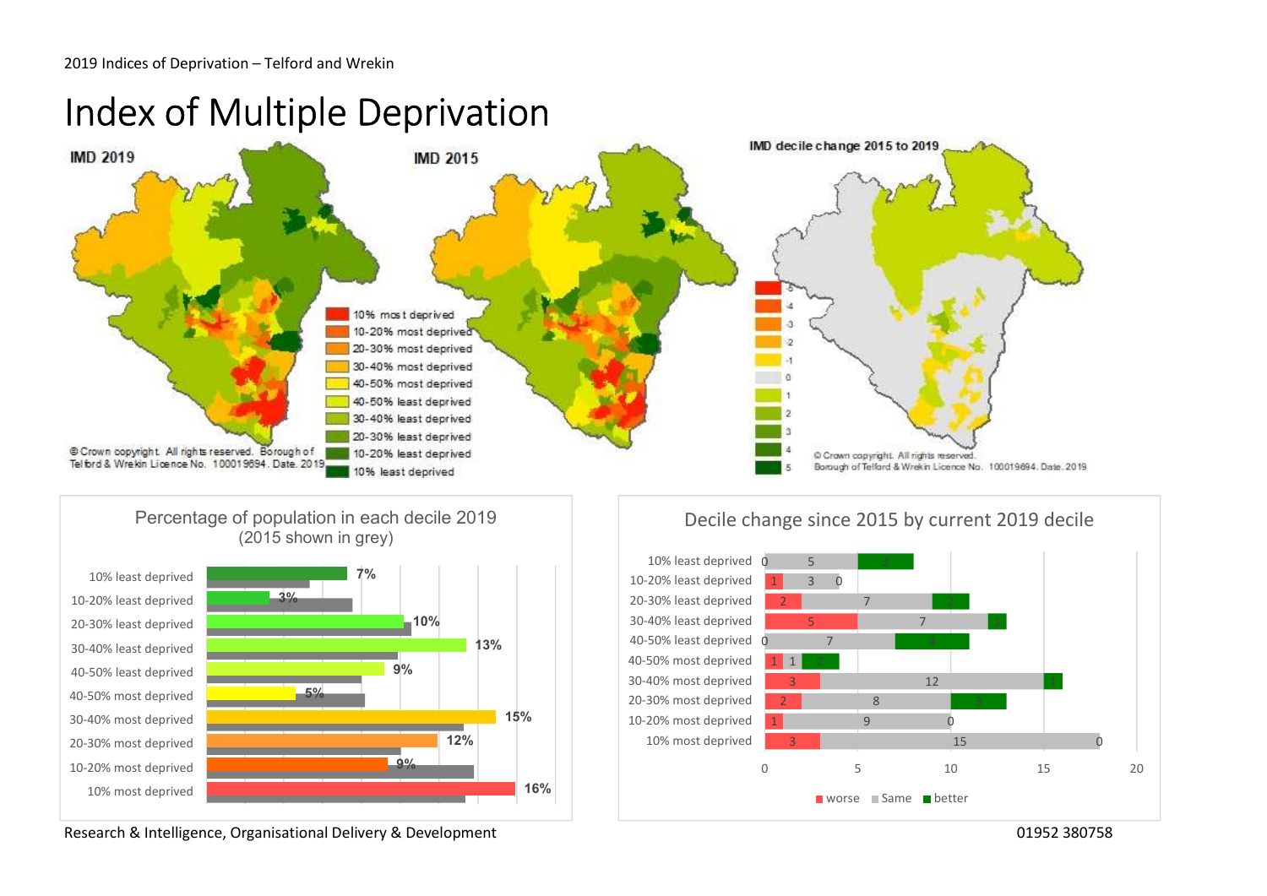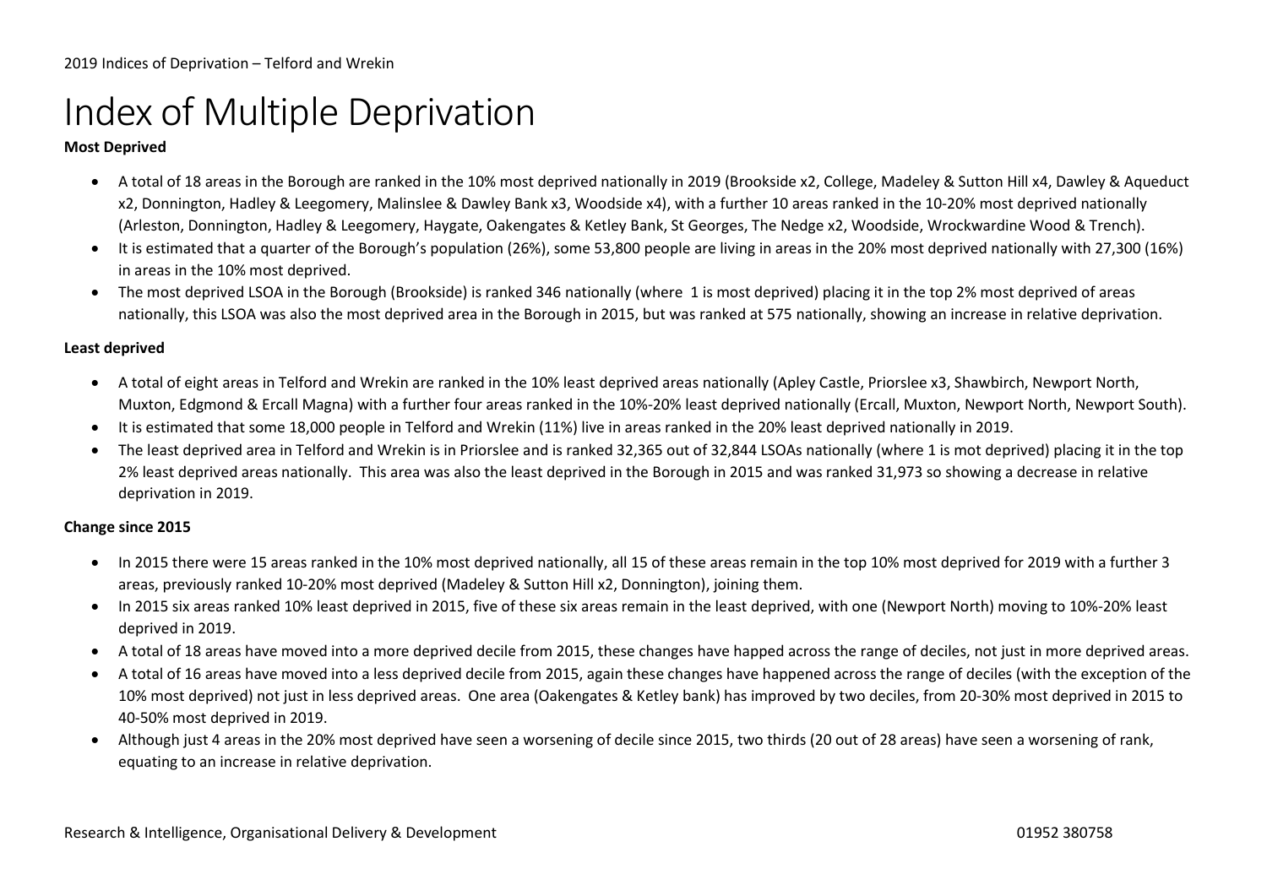## Index of Multiple Deprivation

### Most Deprived

- A total of 18 areas in the Borough are ranked in the 10% most deprived nationally in 2019 (Brookside x2, College, Madeley & Sutton Hill x4, Dawley & Aqueduct x2, Donnington, Hadley & Leegomery, Malinslee & Dawley Bank x3, Woodside x4), with a further 10 areas ranked in the 10-20% most deprived nationally (Arleston, Donnington, Hadley & Leegomery, Haygate, Oakengates & Ketley Bank, St Georges, The Nedge x2, Woodside, Wrockwardine Wood & Trench).
- It is estimated that a quarter of the Borough's population (26%), some 53,800 people are living in areas in the 20% most deprived nationally with 27,300 (16%) in areas in the 10% most deprived.
- The most deprived LSOA in the Borough (Brookside) is ranked 346 nationally (where 1 is most deprived) placing it in the top 2% most deprived of areas nationally, this LSOA was also the most deprived area in the Borough in 2015, but was ranked at 575 nationally, showing an increase in relative deprivation.

#### Least deprived

- A total of eight areas in Telford and Wrekin are ranked in the 10% least deprived areas nationally (Apley Castle, Priorslee x3, Shawbirch, Newport North, Muxton, Edgmond & Ercall Magna) with a further four areas ranked in the 10%-20% least deprived nationally (Ercall, Muxton, Newport North, Newport South).
- It is estimated that some 18,000 people in Telford and Wrekin (11%) live in areas ranked in the 20% least deprived nationally in 2019.
- The least deprived area in Telford and Wrekin is in Priorslee and is ranked 32,365 out of 32,844 LSOAs nationally (where 1 is mot deprived) placing it in the top 2% least deprived areas nationally. This area was also the least deprived in the Borough in 2015 and was ranked 31,973 so showing a decrease in relative deprivation in 2019.

#### Change since 2015

- In 2015 there were 15 areas ranked in the 10% most deprived nationally, all 15 of these areas remain in the top 10% most deprived for 2019 with a further 3 areas, previously ranked 10-20% most deprived (Madeley & Sutton Hill x2, Donnington), joining them.
- In 2015 six areas ranked 10% least deprived in 2015, five of these six areas remain in the least deprived, with one (Newport North) moving to 10%-20% least deprived in 2019.
- A total of 18 areas have moved into a more deprived decile from 2015, these changes have happed across the range of deciles, not just in more deprived areas.
- A total of 16 areas have moved into a less deprived decile from 2015, again these changes have happened across the range of deciles (with the exception of the 10% most deprived) not just in less deprived areas. One area (Oakengates & Ketley bank) has improved by two deciles, from 20-30% most deprived in 2015 to 40-50% most deprived in 2019.
- Although just 4 areas in the 20% most deprived have seen a worsening of decile since 2015, two thirds (20 out of 28 areas) have seen a worsening of rank, equating to an increase in relative deprivation.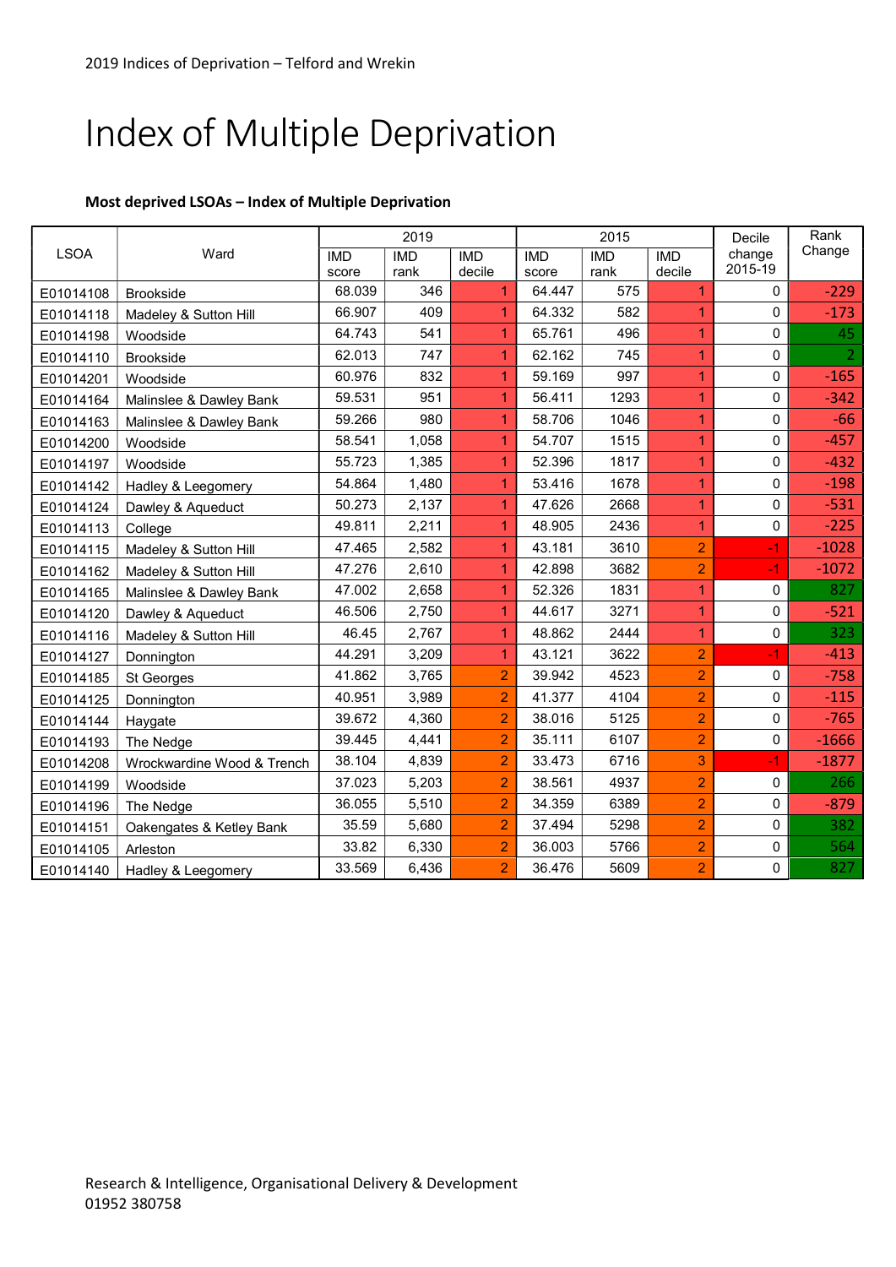# Index of Multiple Deprivation

### Most deprived LSOAs – Index of Multiple Deprivation

| <b>LSOA</b> | Ward                       | 2019       |            |                | 2015       |            |                | Decile            | Rank           |
|-------------|----------------------------|------------|------------|----------------|------------|------------|----------------|-------------------|----------------|
|             |                            | <b>IMD</b> | <b>IMD</b> | <b>IMD</b>     | <b>IMD</b> | <b>IMD</b> | <b>IMD</b>     | change<br>2015-19 | Change         |
|             |                            | score      | rank       | decile         | score      | rank       | decile         |                   |                |
| E01014108   | <b>Brookside</b>           | 68.039     | 346        | $\overline{1}$ | 64.447     | 575        | $\mathbf{1}$   | 0                 | $-229$         |
| E01014118   | Madeley & Sutton Hill      | 66.907     | 409        | $\mathbf{1}$   | 64.332     | 582        | 1              | 0                 | $-173$         |
| E01014198   | Woodside                   | 64.743     | 541        | $\overline{1}$ | 65.761     | 496        | $\mathbf{1}$   | 0                 | 45             |
| E01014110   | <b>Brookside</b>           | 62.013     | 747        | $\overline{1}$ | 62.162     | 745        | $\overline{1}$ | $\boldsymbol{0}$  | $\overline{2}$ |
| E01014201   | Woodside                   | 60.976     | 832        | $\mathbf{1}$   | 59.169     | 997        | $\mathbf{1}$   | 0                 | $-165$         |
| E01014164   | Malinslee & Dawley Bank    | 59.531     | 951        | $\mathbf{1}$   | 56.411     | 1293       | $\overline{1}$ | $\Omega$          | $-342$         |
| E01014163   | Malinslee & Dawley Bank    | 59.266     | 980        | $\mathbf{1}$   | 58.706     | 1046       | $\mathbf{1}$   | $\Omega$          | $-66$          |
| E01014200   | Woodside                   | 58.541     | 1,058      | $\overline{1}$ | 54.707     | 1515       | $\mathbf{1}$   | $\Omega$          | $-457$         |
| E01014197   | Woodside                   | 55.723     | 1,385      | $\mathbf{1}$   | 52.396     | 1817       | $\mathbf{1}$   | 0                 | $-432$         |
| E01014142   | Hadley & Leegomery         | 54.864     | 1,480      | $\mathbf{1}$   | 53.416     | 1678       | $\mathbf{1}$   | 0                 | $-198$         |
| E01014124   | Dawley & Aqueduct          | 50.273     | 2,137      | $\overline{1}$ | 47.626     | 2668       | $\mathbf{1}$   | 0                 | $-531$         |
| E01014113   | College                    | 49.811     | 2,211      | $\mathbf{1}$   | 48.905     | 2436       | $\mathbf{1}$   | 0                 | $-225$         |
| E01014115   | Madeley & Sutton Hill      | 47.465     | 2,582      | $\overline{1}$ | 43.181     | 3610       | $\overline{2}$ | $-1$              | $-1028$        |
| E01014162   | Madeley & Sutton Hill      | 47.276     | 2,610      | $\overline{1}$ | 42.898     | 3682       | $\overline{2}$ | $-1$              | $-1072$        |
| E01014165   | Malinslee & Dawley Bank    | 47.002     | 2,658      | $\overline{1}$ | 52.326     | 1831       | $\overline{1}$ | 0                 | 827            |
| E01014120   | Dawley & Aqueduct          | 46.506     | 2,750      | $\mathbf{1}$   | 44.617     | 3271       | $\mathbf{1}$   | 0                 | $-521$         |
| E01014116   | Madeley & Sutton Hill      | 46.45      | 2,767      | $\mathbf{1}$   | 48.862     | 2444       | $\mathbf{1}$   | 0                 | 323            |
| E01014127   | Donnington                 | 44.291     | 3,209      | $\mathbf{1}$   | 43.121     | 3622       | $\overline{2}$ | $-1$              | $-413$         |
| E01014185   | St Georges                 | 41.862     | 3,765      | $\overline{2}$ | 39.942     | 4523       | $\overline{2}$ | 0                 | $-758$         |
| E01014125   | Donnington                 | 40.951     | 3,989      | $\overline{2}$ | 41.377     | 4104       | $\overline{2}$ | 0                 | $-115$         |
| E01014144   | Haygate                    | 39.672     | 4,360      | $\overline{2}$ | 38.016     | 5125       | $\overline{2}$ | 0                 | $-765$         |
| E01014193   | The Nedge                  | 39.445     | 4,441      | $\overline{2}$ | 35.111     | 6107       | $\overline{2}$ | 0                 | $-1666$        |
| E01014208   | Wrockwardine Wood & Trench | 38.104     | 4,839      | $\overline{2}$ | 33.473     | 6716       | 3              | -1                | $-1877$        |
| E01014199   | Woodside                   | 37.023     | 5,203      | $\overline{2}$ | 38.561     | 4937       | $\overline{2}$ | 0                 | 266            |
| E01014196   | The Nedge                  | 36.055     | 5,510      | $\overline{a}$ | 34.359     | 6389       | $\overline{2}$ | 0                 | $-879$         |
| E01014151   | Oakengates & Ketley Bank   | 35.59      | 5,680      | $\overline{2}$ | 37.494     | 5298       | $\overline{2}$ | 0                 | 382            |
| E01014105   | Arleston                   | 33.82      | 6,330      | $\overline{2}$ | 36.003     | 5766       | $\overline{2}$ | 0                 | 564            |
| E01014140   | Hadley & Leegomery         | 33.569     | 6,436      | $\overline{2}$ | 36.476     | 5609       | $\overline{2}$ | 0                 | 827            |